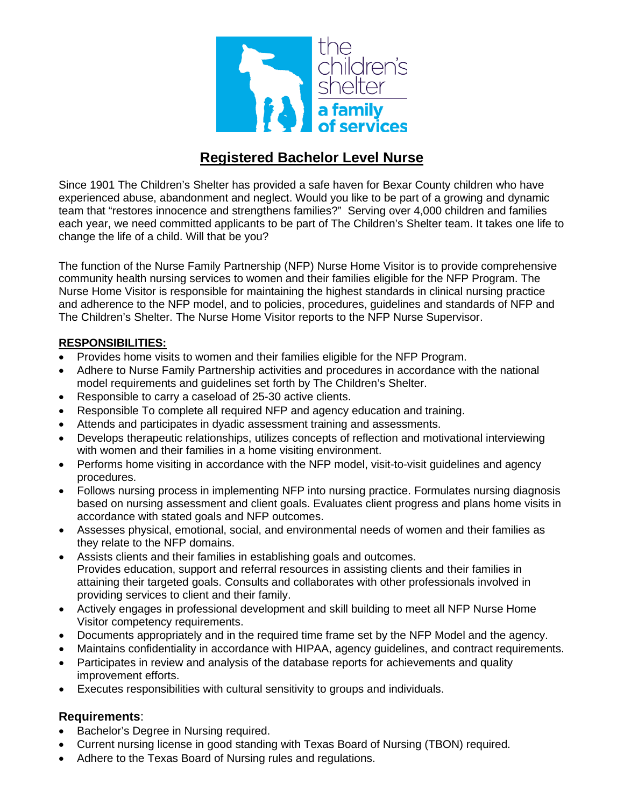

## **Registered Bachelor Level Nurse**

Since 1901 The Children's Shelter has provided a safe haven for Bexar County children who have experienced abuse, abandonment and neglect. Would you like to be part of a growing and dynamic team that "restores innocence and strengthens families?" Serving over 4,000 children and families each year, we need committed applicants to be part of The Children's Shelter team. It takes one life to change the life of a child. Will that be you?

The function of the Nurse Family Partnership (NFP) Nurse Home Visitor is to provide comprehensive community health nursing services to women and their families eligible for the NFP Program. The Nurse Home Visitor is responsible for maintaining the highest standards in clinical nursing practice and adherence to the NFP model, and to policies, procedures, guidelines and standards of NFP and The Children's Shelter. The Nurse Home Visitor reports to the NFP Nurse Supervisor.

## **RESPONSIBILITIES:**

- Provides home visits to women and their families eligible for the NFP Program.
- Adhere to Nurse Family Partnership activities and procedures in accordance with the national model requirements and guidelines set forth by The Children's Shelter.
- Responsible to carry a caseload of 25-30 active clients.
- Responsible To complete all required NFP and agency education and training.
- Attends and participates in dyadic assessment training and assessments.
- Develops therapeutic relationships, utilizes concepts of reflection and motivational interviewing with women and their families in a home visiting environment.
- Performs home visiting in accordance with the NFP model, visit-to-visit quidelines and agency procedures.
- Follows nursing process in implementing NFP into nursing practice. Formulates nursing diagnosis based on nursing assessment and client goals. Evaluates client progress and plans home visits in accordance with stated goals and NFP outcomes.
- Assesses physical, emotional, social, and environmental needs of women and their families as they relate to the NFP domains.
- Assists clients and their families in establishing goals and outcomes. Provides education, support and referral resources in assisting clients and their families in attaining their targeted goals. Consults and collaborates with other professionals involved in providing services to client and their family.
- Actively engages in professional development and skill building to meet all NFP Nurse Home Visitor competency requirements.
- Documents appropriately and in the required time frame set by the NFP Model and the agency.
- Maintains confidentiality in accordance with HIPAA, agency guidelines, and contract requirements.
- Participates in review and analysis of the database reports for achievements and quality improvement efforts.
- Executes responsibilities with cultural sensitivity to groups and individuals.

## **Requirements**:

- Bachelor's Degree in Nursing required.
- Current nursing license in good standing with Texas Board of Nursing (TBON) required.
- Adhere to the Texas Board of Nursing rules and regulations.